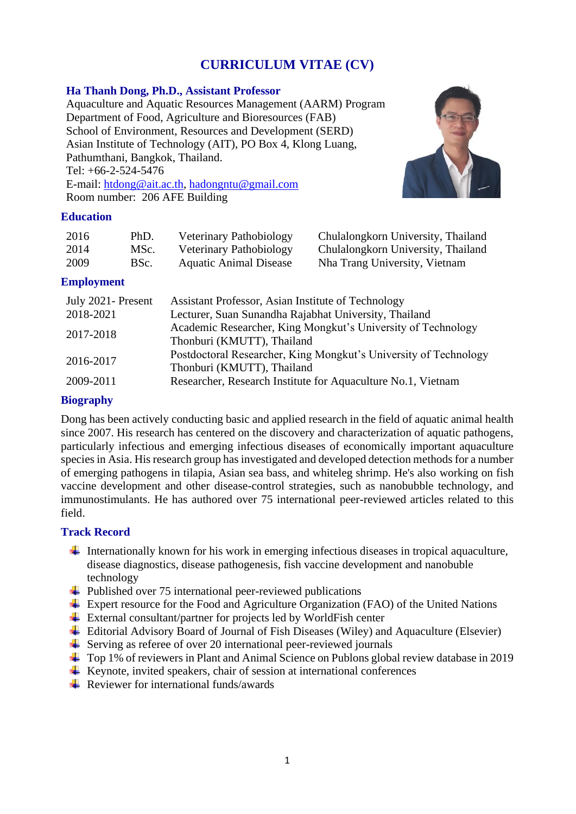# **CURRICULUM VITAE (CV)**

### **Ha Thanh Dong, Ph.D., Assistant Professor**

Aquaculture and Aquatic Resources Management (AARM) Program Department of Food, Agriculture and Bioresources (FAB) School of Environment, Resources and Development (SERD) Asian Institute of Technology (AIT), PO Box 4, Klong Luang, Pathumthani, Bangkok, Thailand. Tel: +66-2-524-5476 E-mail: [htdong@ait.ac.th,](mailto:htdong@ait.ac.th) [hadongntu@gmail.com](mailto:hadongntu@gmail.com) Room number: 206 AFE Building



#### **Education**

| 2016 | PhD. | Veterinary Pathobiology       | Chulalongkorn University, Thailand |
|------|------|-------------------------------|------------------------------------|
| 2014 | MSc. | Veterinary Pathobiology       | Chulalongkorn University, Thailand |
| 2009 | BSc. | <b>Aquatic Animal Disease</b> | Nha Trang University, Vietnam      |

### **Employment**

| July 2021 - Present | Assistant Professor, Asian Institute of Technology               |
|---------------------|------------------------------------------------------------------|
| 2018-2021           | Lecturer, Suan Sunandha Rajabhat University, Thailand            |
| 2017-2018           | Academic Researcher, King Mongkut's University of Technology     |
|                     | Thonburi (KMUTT), Thailand                                       |
| 2016-2017           | Postdoctoral Researcher, King Mongkut's University of Technology |
|                     | Thonburi (KMUTT), Thailand                                       |
| 2009-2011           | Researcher, Research Institute for Aquaculture No.1, Vietnam     |
|                     |                                                                  |

### **Biography**

Dong has been actively conducting basic and applied research in the field of aquatic animal health since 2007. His research has centered on the discovery and characterization of aquatic pathogens, particularly infectious and emerging infectious diseases of economically important aquaculture species in Asia. His research group has investigated and developed detection methods for a number of emerging pathogens in tilapia, Asian sea bass, and whiteleg shrimp. He's also working on fish vaccine development and other disease-control strategies, such as nanobubble technology, and immunostimulants. He has authored over 75 international peer-reviewed articles related to this field.

#### **Track Record**

- Internationally known for his work in emerging infectious diseases in tropical aquaculture, disease diagnostics, disease pathogenesis, fish vaccine development and nanobuble technology
- $\overline{\phantom{a}}$  Published over 75 international peer-reviewed publications
- Expert resource for the Food and Agriculture Organization (FAO) of the United Nations
- External consultant/partner for projects led by WorldFish center
- Editorial Advisory Board of Journal of Fish Diseases (Wiley) and Aquaculture (Elsevier)
- $\overline{\phantom{a}}$  Serving as referee of over 20 international peer-reviewed journals
- ↓ Top 1% of reviewers in Plant and Animal Science on Publons global review database in 2019
- $\overline{\text{H}}$  Keynote, invited speakers, chair of session at international conferences
- $\perp$  Reviewer for international funds/awards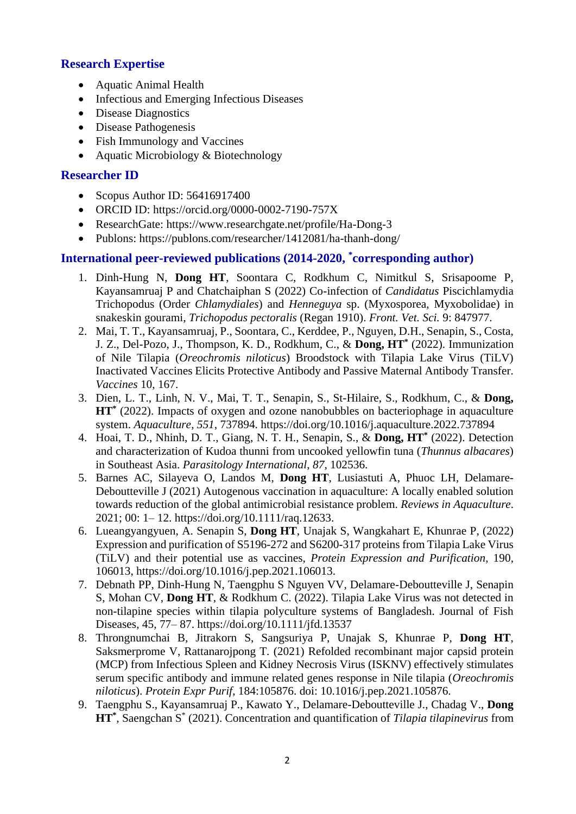# **Research Expertise**

- Aquatic Animal Health
- Infectious and Emerging Infectious Diseases
- Disease Diagnostics
- Disease Pathogenesis
- Fish Immunology and Vaccines
- Aquatic Microbiology & Biotechnology

# **Researcher ID**

- Scopus Author ID: 56416917400
- ORCID ID: https://orcid.org/0000-0002-7190-757X
- ResearchGate: https://www.researchgate.net/profile/Ha-Dong-3
- Publons: https://publons.com/researcher/1412081/ha-thanh-dong/

# **International peer-reviewed publications (2014-2020, \* corresponding author)**

- 1. Dinh-Hung N, **Dong HT**, Soontara C, Rodkhum C, Nimitkul S, Srisapoome P, Kayansamruaj P and Chatchaiphan S (2022) Co-infection of *Candidatus* Piscichlamydia Trichopodus (Order *Chlamydiales*) and *Henneguya* sp. (Myxosporea, Myxobolidae) in snakeskin gourami, *Trichopodus pectoralis* (Regan 1910). *Front. Vet. Sci.* 9: 847977.
- 2. Mai, T. T., Kayansamruaj, P., Soontara, C., Kerddee, P., Nguyen, D.H., Senapin, S., Costa, J. Z., Del-Pozo, J., Thompson, K. D., Rodkhum, C., & **Dong, HT\*** (2022). Immunization of Nile Tilapia (*Oreochromis niloticus*) Broodstock with Tilapia Lake Virus (TiLV) Inactivated Vaccines Elicits Protective Antibody and Passive Maternal Antibody Transfer. *Vaccines* 10, 167.
- 3. Dien, L. T., Linh, N. V., Mai, T. T., Senapin, S., St-Hilaire, S., Rodkhum, C., & **Dong, HT\*** (2022). Impacts of oxygen and ozone nanobubbles on bacteriophage in aquaculture system. *Aquaculture*, *551*, 737894. https://doi.org/10.1016/j.aquaculture.2022.737894
- 4. Hoai, T. D., Nhinh, D. T., Giang, N. T. H., Senapin, S., & **Dong, HT\*** (2022). Detection and characterization of Kudoa thunni from uncooked yellowfin tuna (*Thunnus albacares*) in Southeast Asia. *Parasitology International*, *87*, 102536.
- 5. Barnes AC, Silayeva O, Landos M, **Dong HT**, Lusiastuti A, Phuoc LH, Delamare-Deboutteville J (2021) Autogenous vaccination in aquaculture: A locally enabled solution towards reduction of the global antimicrobial resistance problem. *Reviews in Aquaculture*. 2021; 00: 1– 12. https://doi.org/10.1111/raq.12633.
- 6. Lueangyangyuen, A. Senapin S, **Dong HT**, Unajak S, Wangkahart E, Khunrae P, (2022) Expression and purification of S5196-272 and S6200-317 proteins from Tilapia Lake Virus (TiLV) and their potential use as vaccines, *Protein Expression and Purification*, 190, 106013, https://doi.org/10.1016/j.pep.2021.106013.
- 7. Debnath PP, Dinh-Hung N, Taengphu S Nguyen VV, Delamare-Deboutteville J, Senapin S, Mohan CV, **Dong HT**, & Rodkhum C. (2022). Tilapia Lake Virus was not detected in non-tilapine species within tilapia polyculture systems of Bangladesh. Journal of Fish Diseases, 45, 77– 87. https://doi.org/10.1111/jfd.13537
- 8. Throngnumchai B, Jitrakorn S, Sangsuriya P, Unajak S, Khunrae P, **Dong HT**, Saksmerprome V, Rattanarojpong T. (2021) Refolded recombinant major capsid protein (MCP) from Infectious Spleen and Kidney Necrosis Virus (ISKNV) effectively stimulates serum specific antibody and immune related genes response in Nile tilapia (*Oreochromis niloticus*). *Protein Expr Purif*, 184:105876. doi: 10.1016/j.pep.2021.105876.
- 9. Taengphu S., Kayansamruaj P., Kawato Y., Delamare-Deboutteville J., Chadag V., **Dong HT\*** , Saengchan S\* (2021). Concentration and quantification of *Tilapia tilapinevirus* from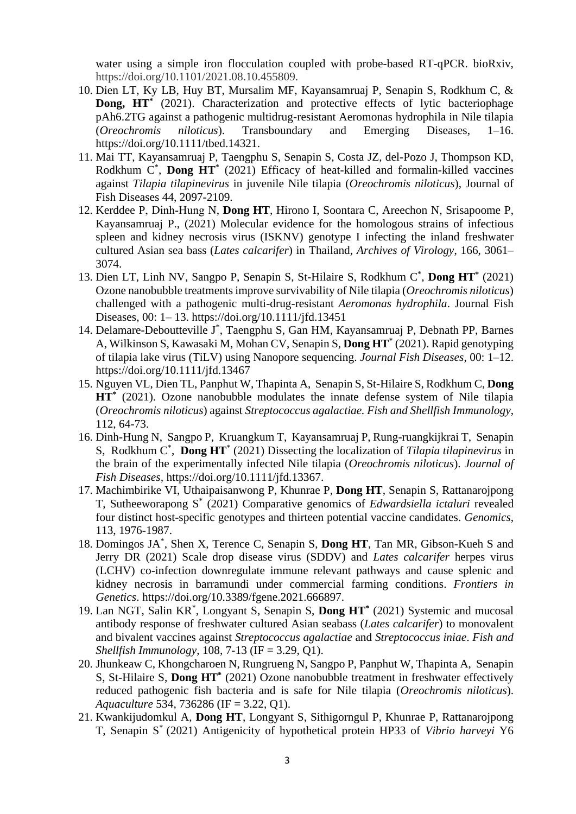water using a simple iron flocculation coupled with probe-based RT-qPCR. bioRxiv, https://doi.org/10.1101/2021.08.10.455809.

- 10. Dien LT, Ky LB, Huy BT, Mursalim MF, Kayansamruaj P, Senapin S, Rodkhum C, & **Dong, HT\*** (2021). Characterization and protective effects of lytic bacteriophage pAh6.2TG against a pathogenic multidrug-resistant Aeromonas hydrophila in Nile tilapia (*Oreochromis niloticus*). Transboundary and Emerging Diseases, 1–16. https://doi.org/10.1111/tbed.14321.
- 11. Mai TT, Kayansamruaj P, Taengphu S, Senapin S, Costa JZ, del-Pozo J, Thompson KD, Rodkhum  $C^*$ , **Dong HT**<sup>\*</sup> (2021) Efficacy of heat-killed and formalin-killed vaccines against *Tilapia tilapinevirus* in juvenile Nile tilapia (*Oreochromis niloticus*), Journal of Fish Diseases 44, 2097-2109.
- 12. Kerddee P, Dinh‐Hung N, **Dong HT**, Hirono I, Soontara C, Areechon N, Srisapoome P, Kayansamruaj P., (2021) Molecular evidence for the homologous strains of infectious spleen and kidney necrosis virus (ISKNV) genotype I infecting the inland freshwater cultured Asian sea bass (*Lates calcarifer*) in Thailand, *Archives of Virology*, 166, 3061– 3074.
- 13. Dien LT, Linh NV, Sangpo P, Senapin S, St-Hilaire S, Rodkhum C \* , **Dong HT\*** (2021) Ozone nanobubble treatments improve survivability of Nile tilapia (*Oreochromis niloticus*) challenged with a pathogenic multi-drug-resistant *Aeromonas hydrophila*. Journal Fish Diseases*,* 00: 1– 13. https://doi.org/10.1111/jfd.13451
- 14. Delamare-Deboutteville J\* , Taengphu S, Gan HM, Kayansamruaj P, Debnath PP, Barnes A, Wilkinson S, Kawasaki M, Mohan CV, Senapin S, **Dong HT**\* (2021). Rapid genotyping of tilapia lake virus (TiLV) using Nanopore sequencing. *Journal Fish Diseases*, 00: 1–12. https://doi.org/10.1111/jfd.13467
- 15. Nguyen VL, Dien TL, Panphut W, Thapinta A, Senapin S, St-Hilaire S, Rodkhum C, **Dong HT\*** (2021). Ozone nanobubble modulates the innate defense system of Nile tilapia (*Oreochromis niloticus*) against *Streptococcus agalactiae. Fish and Shellfish Immunology*, 112, 64-73.
- 16. Dinh-Hung N, Sangpo P, Kruangkum T, Kayansamruaj P, Rung-ruangkijkrai T, Senapin S, Rodkhum C \* , **Dong HT**\* (2021) Dissecting the localization of *Tilapia tilapinevirus* in the brain of the experimentally infected Nile tilapia (*Oreochromis niloticus*). *Journal of Fish Diseases,* https://doi.org/10.1111/jfd.13367.
- 17. Machimbirike VI, Uthaipaisanwong P, Khunrae P, **Dong HT**, Senapin S, Rattanarojpong T, Sutheeworapong S\* (2021) Comparative genomics of *Edwardsiella ictaluri* revealed four distinct host-specific genotypes and thirteen potential vaccine candidates. *Genomics*, 113, 1976-1987.
- 18. Domingos JA\* , Shen X, Terence C, Senapin S, **Dong HT**, Tan MR, Gibson-Kueh S and Jerry DR (2021) Scale drop disease virus (SDDV) and *Lates calcarifer* herpes virus (LCHV) co-infection downregulate immune relevant pathways and cause splenic and kidney necrosis in barramundi under commercial farming conditions. *Frontiers in Genetics*. https://doi.org/10.3389/fgene.2021.666897.
- 19. Lan NGT, Salin KR\* , Longyant S, Senapin S, **Dong HT\*** (2021) Systemic and mucosal antibody response of freshwater cultured Asian seabass (*Lates calcarifer*) to monovalent and bivalent vaccines against *Streptococcus agalactiae* and *Streptococcus iniae*. *Fish and Shellfish Immunology*, 108, 7-13 (IF = 3.29, Q1).
- 20. Jhunkeaw C, Khongcharoen N, Rungrueng N, Sangpo P, Panphut W, Thapinta A, Senapin S, St-Hilaire S, **Dong HT\*** (2021) Ozone nanobubble treatment in freshwater effectively reduced pathogenic fish bacteria and is safe for Nile tilapia (*Oreochromis niloticus*). *Aquaculture* 534, 736286 (IF = 3.22, Q1).
- 21. Kwankijudomkul A, **Dong HT**, Longyant S, Sithigorngul P, Khunrae P, Rattanarojpong T, Senapin S\* (2021) Antigenicity of hypothetical protein HP33 of *Vibrio harveyi* Y6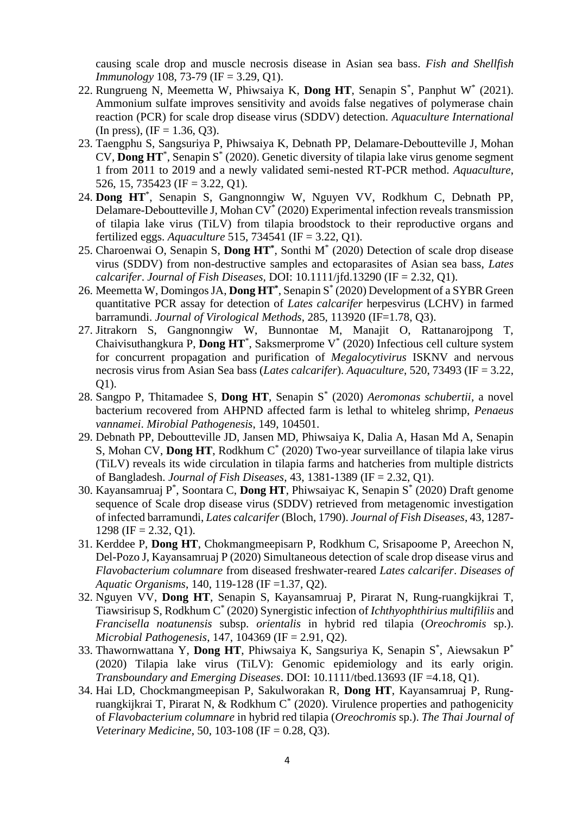causing scale drop and muscle necrosis disease in Asian sea bass. *Fish and Shellfish Immunology* 108, 73-79 (IF = 3.29, Q1).

- 22. Rungrueng N, Meemetta W, Phiwsaiya K, **Dong HT**, Senapin S\* , Panphut W\* (2021). Ammonium sulfate improves sensitivity and avoids false negatives of polymerase chain reaction (PCR) for scale drop disease virus (SDDV) detection. *Aquaculture International* (In press), (IF = 1.36, Q3).
- 23. Taengphu S, Sangsuriya P, Phiwsaiya K, Debnath PP, Delamare-Deboutteville J, Mohan CV, **Dong HT**\* , Senapin S\* (2020). Genetic diversity of tilapia lake virus genome segment 1 from 2011 to 2019 and a newly validated semi-nested RT-PCR method. *Aquaculture*, 526, 15, 735423 (IF = 3.22, Q1).
- 24. **Dong HT**\* , Senapin S, Gangnonngiw W, Nguyen VV, Rodkhum C, Debnath PP, Delamare-Deboutteville J, Mohan CV<sup>\*</sup> (2020) Experimental infection reveals transmission of tilapia lake virus (TiLV) from tilapia broodstock to their reproductive organs and fertilized eggs. *Aquaculture* 515, 734541 (IF = 3.22, Q1).
- 25. Charoenwai O, Senapin S, **Dong HT\*** , Sonthi M\* (2020) Detection of scale drop disease virus (SDDV) from non-destructive samples and ectoparasites of Asian sea bass, *Lates calcarifer*. *Journal of Fish Diseases*, DOI: 10.1111/jfd.13290 (IF = 2.32, Q1).
- 26. Meemetta W, Domingos JA, **Dong HT\*** , Senapin S\* (2020) Development of a SYBR Green quantitative PCR assay for detection of *Lates calcarifer* herpesvirus (LCHV) in farmed barramundi. *Journal of Virological Methods*, 285, 113920 (IF=1.78, Q3).
- 27. Jitrakorn S, Gangnonngiw W, Bunnontae M, Manajit O, Rattanarojpong T, Chaivisuthangkura P, **Dong HT**\* , Saksmerprome V\* (2020) Infectious cell culture system for concurrent propagation and purification of *Megalocytivirus* ISKNV and nervous necrosis virus from Asian Sea bass (*Lates calcarifer*). *Aquaculture*, 520, 73493 (IF = 3.22, Q1).
- 28. Sangpo P, Thitamadee S, **Dong HT**, Senapin S\* (2020) *Aeromonas schubertii*, a novel bacterium recovered from AHPND affected farm is lethal to whiteleg shrimp, *Penaeus vannamei*. *Mirobial Pathogenesis*, 149, 104501.
- 29. Debnath PP, Deboutteville JD, Jansen MD, Phiwsaiya K, Dalia A, Hasan Md A, Senapin S, Mohan CV, Dong HT, Rodkhum C<sup>\*</sup> (2020) Two-year surveillance of tilapia lake virus (TiLV) reveals its wide circulation in tilapia farms and hatcheries from multiple districts of Bangladesh. *Journal of Fish Diseases*, 43, 1381-1389 (IF = 2.32, Q1).
- 30. Kayansamruaj P\* , Soontara C, **Dong HT**, Phiwsaiyac K, Senapin S\* (2020) Draft genome sequence of Scale drop disease virus (SDDV) retrieved from metagenomic investigation of infected barramundi, *Lates calcarifer* (Bloch, 1790). *Journal of Fish Diseases*, 43, 1287- 1298 (IF = 2.32, Q1).
- 31. Kerddee P, **Dong HT**, Chokmangmeepisarn P, Rodkhum C, Srisapoome P, Areechon N, Del-Pozo J, Kayansamruaj P (2020) Simultaneous detection of scale drop disease virus and *Flavobacterium columnare* from diseased freshwater-reared *Lates calcarifer*. *Diseases of Aquatic Organisms*, 140, 119-128 (IF =1.37, Q2).
- 32. Nguyen VV, **Dong HT**, Senapin S, Kayansamruaj P, Pirarat N, Rung-ruangkijkrai T, Tiawsirisup S, Rodkhum C\* (2020) Synergistic infection of *Ichthyophthirius multifiliis* and *Francisella noatunensis* subsp. *orientalis* in hybrid red tilapia (*Oreochromis* sp.). *Microbial Pathogenesis*, 147, 104369 (IF = 2.91, Q2).
- 33. Thawornwattana Y, Dong HT, Phiwsaiya K, Sangsuriya K, Senapin S<sup>\*</sup>, Aiewsakun P<sup>\*</sup> (2020) Tilapia lake virus (TiLV): Genomic epidemiology and its early origin. *Transboundary and Emerging Diseases*. DOI: 10.1111/tbed.13693 (IF =4.18, Q1).
- 34. Hai LD, Chockmangmeepisan P, Sakulworakan R, **Dong HT**, Kayansamruaj P, Rungruangkijkrai T, Pirarat N, & Rodkhum  $C^*$  (2020). Virulence properties and pathogenicity of *Flavobacterium columnare* in hybrid red tilapia (*Oreochromis* sp.). *The Thai Journal of Veterinary Medicine*, 50, 103-108 (IF = 0.28, Q3).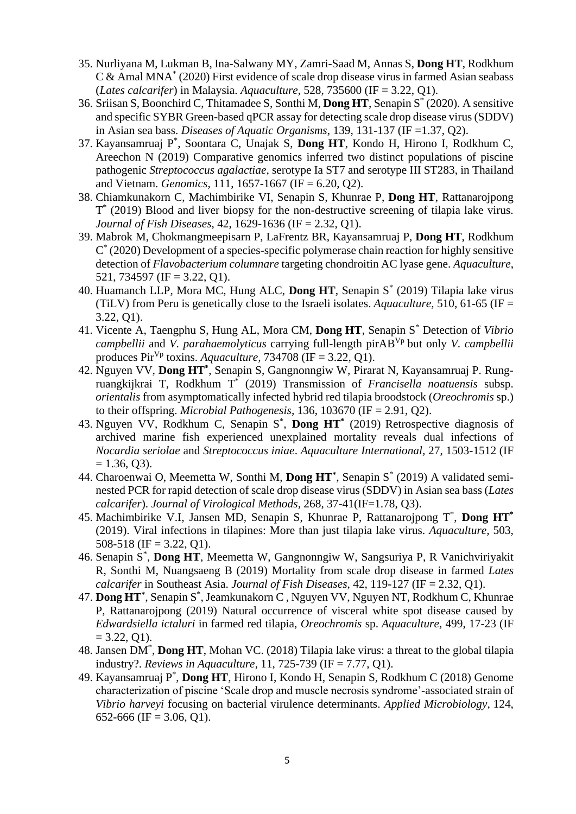- 35. Nurliyana M, Lukman B, Ina-Salwany MY, Zamri-Saad M, Annas S, **Dong HT**, Rodkhum C & Amal MNA\* (2020) First evidence of scale drop disease virus in farmed Asian seabass (*Lates calcarifer*) in Malaysia. *Aquaculture*, 528, 735600 (IF = 3.22, Q1).
- 36. Sriisan S, Boonchird C, Thitamadee S, Sonthi M, **Dong HT**, Senapin S \* (2020). A sensitive and specific SYBR Green-based qPCR assay for detecting scale drop disease virus (SDDV) in Asian sea bass. *Diseases of Aquatic Organisms*, 139, 131-137 (IF =1.37, Q2).
- 37. Kayansamruaj P\* , Soontara C, Unajak S, **Dong HT**, Kondo H, Hirono I, Rodkhum C, Areechon N (2019) Comparative genomics inferred two distinct populations of piscine pathogenic *Streptococcus agalactiae*, serotype Ia ST7 and serotype III ST283, in Thailand and Vietnam. *Genomics*, 111, 1657-1667 (IF = 6.20, Q2).
- 38. Chiamkunakorn C, Machimbirike VI, Senapin S, Khunrae P, **Dong HT**, Rattanarojpong T \* (2019) Blood and liver biopsy for the non-destructive screening of tilapia lake virus. *Journal of Fish Diseases*, 42, 1629-1636 (IF = 2.32, Q1).
- 39. Mabrok M, Chokmangmeepisarn P, LaFrentz BR, Kayansamruaj P, **Dong HT**, Rodkhum C \* (2020) Development of a species-specific polymerase chain reaction for highly sensitive detection of *Flavobacterium columnare* targeting chondroitin AC lyase gene. *Aquaculture*, 521, 734597 (IF = 3.22, Q1).
- 40. Huamanch LLP, Mora MC, Hung ALC, **Dong HT**, Senapin S \* (2019) Tilapia lake virus (TiLV) from Peru is genetically close to the Israeli isolates. *Aquaculture,* 510, 61-65 (IF = 3.22, Q1).
- 41. Vicente A, Taengphu S, Hung AL, Mora CM, **Dong HT**, Senapin S\* Detection of *Vibrio campbellii* and *V. parahaemolyticus* carrying full-length pirABVp but only *V. campbellii* produces Pir<sup>Vp</sup> toxins. *Aquaculture*,  $734708$  (IF = 3.22, O1).
- 42. Nguyen VV, **Dong HT\*** , Senapin S, Gangnonngiw W, Pirarat N, Kayansamruaj P. Rungruangkijkrai T, Rodkhum T\* (2019) Transmission of *Francisella noatuensis* subsp. *orientalis* from asymptomatically infected hybrid red tilapia broodstock (*Oreochromis* sp.) to their offspring. *Microbial Pathogenesis,* 136, 103670 (IF = 2.91, Q2).
- 43. Nguyen VV, Rodkhum C, Senapin S\* , **Dong HT \*** (2019) Retrospective diagnosis of archived marine fish experienced unexplained mortality reveals dual infections of *Nocardia seriolae* and *Streptococcus iniae*. *Aquaculture International,* 27, 1503-1512 (IF  $= 1.36, 03$ .
- 44. Charoenwai O, Meemetta W, Sonthi M, **Dong HT\*** , Senapin S\* (2019) A validated seminested PCR for rapid detection of scale drop disease virus (SDDV) in Asian sea bass (*Lates calcarifer*). *Journal of Virological Methods,* 268, 37-41(IF=1.78, Q3).
- 45. Machimbirike V.I, Jansen MD, Senapin S, Khunrae P, Rattanarojpong T\* , **Dong HT\*** (2019). Viral infections in tilapines: More than just tilapia lake virus. *Aquaculture,* 503, 508-518 (IF = 3.22, Q1).
- 46. Senapin S\* , **Dong HT**, Meemetta W, Gangnonngiw W, Sangsuriya P, R Vanichviriyakit R, Sonthi M, Nuangsaeng B (2019) Mortality from scale drop disease in farmed *Lates calcarifer* in Southeast Asia. *Journal of Fish Diseases,* 42, 119-127 (IF = 2.32, Q1).
- 47. **Dong HT\*** , Senapin S\* , Jeamkunakorn C , Nguyen VV, Nguyen NT, Rodkhum C, Khunrae P, Rattanarojpong (2019) Natural occurrence of visceral white spot disease caused by *Edwardsiella ictaluri* in farmed red tilapia, *Oreochromis* sp. *Aquaculture,* 499, 17-23 (IF  $= 3.22, 01$ .
- 48. Jansen DM\* , **Dong HT**, Mohan VC. (2018) Tilapia lake virus: a threat to the global tilapia industry?. *Reviews in Aquaculture*, 11, 725-739 (IF = 7.77, Q1).
- 49. Kayansamruaj P\* , **Dong HT**, Hirono I, Kondo H, Senapin S, Rodkhum C (2018) Genome characterization of piscine 'Scale drop and muscle necrosis syndrome'-associated strain of *Vibrio harveyi* focusing on bacterial virulence determinants. *Applied Microbiology*, 124, 652-666 (IF = 3.06, Q1).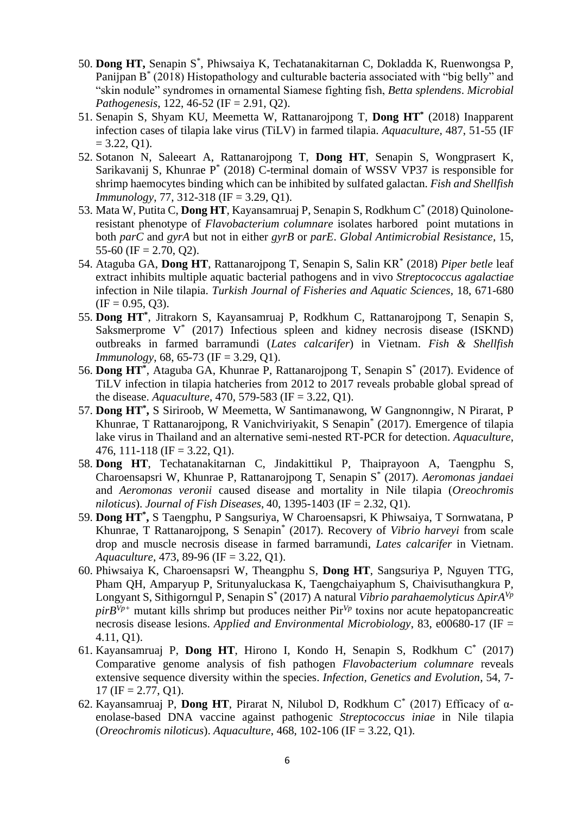- 50. **Dong HT,** Senapin S\* , Phiwsaiya K, Techatanakitarnan C, Dokladda K, Ruenwongsa P, Panijpan B<sup>\*</sup> (2018) Histopathology and culturable bacteria associated with "big belly" and "skin nodule" syndromes in ornamental Siamese fighting fish, *Betta splendens*. *Microbial Pathogenesis*, 122, 46-52 (IF = 2.91, Q2).
- 51. Senapin S, Shyam KU, Meemetta W, Rattanarojpong T, **Dong HT\*** (2018) Inapparent infection cases of tilapia lake virus (TiLV) in farmed tilapia. *Aquaculture,* 487, 51-55 (IF  $= 3.22, 01$ .
- 52. Sotanon N, Saleeart A, Rattanarojpong T, **Dong HT**, Senapin S, Wongprasert K, Sarikavanij S, Khunrae P<sup>\*</sup> (2018) C-terminal domain of WSSV VP37 is responsible for shrimp haemocytes binding which can be inhibited by sulfated galactan. *Fish and Shellfish Immunology*, 77, 312-318 (IF = 3.29, Q1).
- 53. Mata W, Putita C, **Dong HT**, Kayansamruaj P, Senapin S, Rodkhum C\* (2018) Quinoloneresistant phenotype of *Flavobacterium columnare* isolates harbored point mutations in both *parC* and *gyrA* but not in either *gyrB* or *parE*. *Global Antimicrobial Resistance*, 15, 55-60 (IF  $= 2.70, 02$ ).
- 54. Ataguba GA, **Dong HT**, Rattanarojpong T, Senapin S, Salin KR\* (2018) *Piper betle* leaf extract inhibits multiple aquatic bacterial pathogens and in vivo *Streptococcus agalactiae* infection in Nile tilapia. *Turkish Journal of Fisheries and Aquatic Sciences,* 18, 671-680  $(IF = 0.95, 03).$
- 55. **Dong HT\*** , Jitrakorn S, Kayansamruaj P, Rodkhum C, Rattanarojpong T, Senapin S, Saksmerprome V<sup>\*</sup> (2017) Infectious spleen and kidney necrosis disease (ISKND) outbreaks in farmed barramundi (*Lates calcarifer*) in Vietnam. *Fish & Shellfish Immunology*, 68, 65-73 (IF = 3.29, Q1).
- 56. **Dong HT\*** , Ataguba GA, Khunrae P, Rattanarojpong T, Senapin S \* (2017). Evidence of TiLV infection in tilapia hatcheries from 2012 to 2017 reveals probable global spread of the disease. *Aquaculture*, 470, 579-583 (IF = 3.22, Q1).
- 57. **Dong HT\* ,** S Siriroob, W Meemetta, W Santimanawong, W Gangnonngiw, N Pirarat, P Khunrae, T Rattanarojpong, R Vanichviriyakit, S Senapin\* (2017). Emergence of tilapia lake virus in Thailand and an alternative semi-nested RT-PCR for detection. *Aquaculture*, 476, 111-118 (IF = 3.22, Q1).
- 58. **Dong HT**, Techatanakitarnan C, Jindakittikul P, Thaiprayoon A, Taengphu S, Charoensapsri W, Khunrae P, Rattanarojpong T, Senapin S\* (2017). *Aeromonas jandaei*  and *Aeromonas veronii* caused disease and mortality in Nile tilapia (*Oreochromis niloticus*). *Journal of Fish Diseases*, 40, 1395-1403 (IF = 2.32, Q1).
- 59. **Dong HT\* ,** S Taengphu, P Sangsuriya, W Charoensapsri, K Phiwsaiya, T Sornwatana, P Khunrae, T Rattanarojpong, S Senapin\* (2017). Recovery of *Vibrio harveyi* from scale drop and muscle necrosis disease in farmed barramundi, *Lates calcarifer* in Vietnam. *Aquaculture*, 473, 89-96 (IF = 3.22, Q1).
- 60. Phiwsaiya K, Charoensapsri W, Theangphu S, **Dong HT**, Sangsuriya P, Nguyen TTG, Pham QH, Amparyup P, Sritunyaluckasa K, Taengchaiyaphum S, Chaivisuthangkura P, Longyant S, Sithigorngul P, Senapin S\* (2017) A natural *Vibrio parahaemolyticus* Δ*pirAVp*  $pirB<sup>Vp+</sup>$  mutant kills shrimp but produces neither Pir<sup>Vp</sup> toxins nor acute hepatopancreatic necrosis disease lesions. *Applied and Environmental Microbiology*, 83, e00680-17 (IF = 4.11, Q1).
- 61. Kayansamruaj P, **Dong HT**, Hirono I, Kondo H, Senapin S, Rodkhum C\* (2017) Comparative genome analysis of fish pathogen *Flavobacterium columnare* reveals extensive sequence diversity within the species. *Infection, Genetics and Evolution*, 54, 7-  $17$  (IF = 2.77, O1).
- 62. Kayansamruaj P, **Dong HT**, Pirarat N, Nilubol D, Rodkhum C\* (2017) Efficacy of αenolase-based DNA vaccine against pathogenic *Streptococcus iniae* in Nile tilapia (*Oreochromis niloticus*). *Aquaculture*, 468, 102-106 (IF = 3.22, Q1).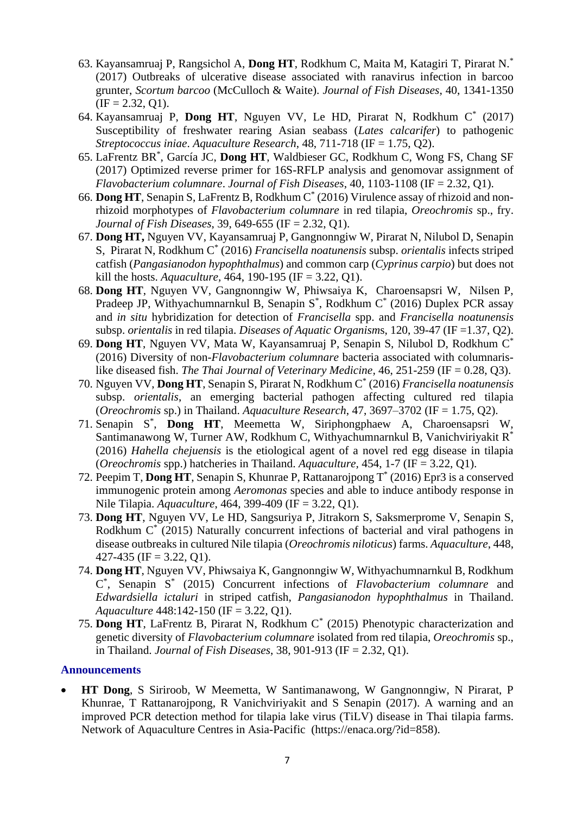- 63. Kayansamruaj P, Rangsichol A, **Dong HT**, Rodkhum C, Maita M, Katagiri T, Pirarat N.\* (2017) Outbreaks of ulcerative disease associated with ranavirus infection in barcoo grunter, *Scortum barcoo* (McCulloch & Waite). *Journal of Fish Diseases*, 40, 1341-1350  $(IF = 2.32, O1).$
- 64. Kayansamruaj P, **Dong HT**, Nguyen VV, Le HD, Pirarat N, Rodkhum C\* (2017) Susceptibility of freshwater rearing Asian seabass (*Lates calcarifer*) to pathogenic *Streptococcus iniae*. *Aquaculture Research*, 48, 711-718 (IF = 1.75, Q2).
- 65. LaFrentz BR\* , García JC, **Dong HT**, Waldbieser GC, Rodkhum C, Wong FS, Chang SF (2017) Optimized reverse primer for 16S-RFLP analysis and genomovar assignment of *Flavobacterium columnare*. *Journal of Fish Diseases*, 40, 1103-1108 (IF = 2.32, Q1).
- 66. **Dong HT**, Senapin S, LaFrentz B, Rodkhum C\* (2016) Virulence assay of rhizoid and nonrhizoid morphotypes of *Flavobacterium columnare* in red tilapia, *Oreochromis* sp., fry. *Journal of Fish Diseases*, 39, 649-655 (IF = 2.32, Q1).
- 67. **Dong HT,** Nguyen VV, Kayansamruaj P, Gangnonngiw W, Pirarat N, Nilubol D, Senapin S, Pirarat N, Rodkhum C\* (2016) *Francisella noatunensis* subsp. *orientalis* infects striped catfish (*Pangasianodon hypophthalmus*) and common carp (*Cyprinus carpio*) but does not kill the hosts. *Aquaculture,* 464, 190-195 (IF = 3.22, Q1).
- 68. **Dong HT**, Nguyen VV, Gangnonngiw W, Phiwsaiya K, Charoensapsri W, Nilsen P, Pradeep JP, Withyachumnarnkul B, Senapin  $S^*$ , Rodkhum  $C^*$  (2016) Duplex PCR assay and *in situ* hybridization for detection of *Francisella* spp. and *Francisella noatunensis* subsp. *orientalis* in red tilapia. *Diseases of Aquatic Organism*s, 120, 39-47 (IF =1.37, Q2).
- 69. **Dong HT**, Nguyen VV, Mata W, Kayansamruaj P, Senapin S, Nilubol D, Rodkhum C\* (2016) Diversity of non-*Flavobacterium columnare* bacteria associated with columnarislike diseased fish. *The Thai Journal of Veterinary Medicine,* 46, 251-259 (IF = 0.28, Q3).
- 70. Nguyen VV, **Dong HT**, Senapin S, Pirarat N, Rodkhum C\* (2016) *Francisella noatunensis* subsp. *orientalis*, an emerging bacterial pathogen affecting cultured red tilapia (*Oreochromis* sp.) in Thailand. *Aquaculture Research*, 47, 3697–3702 (IF = 1.75, Q2).
- 71. Senapin S\* , **Dong HT**, Meemetta W, Siriphongphaew A, Charoensapsri W, Santimanawong W, Turner AW, Rodkhum C, Withyachumnarnkul B, Vanichviriyakit R\* (2016) *Hahella chejuensis* is the etiological agent of a novel red egg disease in tilapia (*Oreochromis* spp.) hatcheries in Thailand. *Aquaculture,* 454, 1-7 (IF = 3.22, Q1).
- 72. Peepim T, **Dong HT**, Senapin S, Khunrae P, Rattanarojpong T\* (2016) Epr3 is a conserved immunogenic protein among *Aeromonas* species and able to induce antibody response in Nile Tilapia. *Aquaculture*, 464, 399-409 (IF = 3.22, Q1).
- 73. **Dong HT**, Nguyen VV, Le HD, Sangsuriya P, Jitrakorn S, Saksmerprome V, Senapin S, Rodkhum C<sup>\*</sup> (2015) Naturally concurrent infections of bacterial and viral pathogens in disease outbreaks in cultured Nile tilapia (*Oreochromis niloticus*) farms. *Aquaculture*, 448,  $427-435$  (IF = 3.22, O1).
- 74. **Dong HT**, Nguyen VV, Phiwsaiya K, Gangnonngiw W, Withyachumnarnkul B, Rodkhum C \* , Senapin S\* (2015) Concurrent infections of *Flavobacterium columnare* and *Edwardsiella ictaluri* in striped catfish, *Pangasianodon hypophthalmus* in Thailand. *Aquaculture* 448:142-150 (IF = 3.22, Q1).
- 75. **Dong HT**, LaFrentz B, Pirarat N, Rodkhum C\* (2015) Phenotypic characterization and genetic diversity of *Flavobacterium columnare* isolated from red tilapia, *Oreochromis* sp., in Thailand. *Journal of Fish Diseases*, 38, 901-913 (IF = 2.32, Q1).

#### **Announcements**

• **HT Dong**, S Siriroob, W Meemetta, W Santimanawong, W Gangnonngiw, N Pirarat, P Khunrae, T Rattanarojpong, R Vanichviriyakit and S Senapin (2017). A warning and an improved PCR detection method for tilapia lake virus (TiLV) disease in Thai tilapia farms. Network of Aquaculture Centres in Asia-Pacific [\(https://enaca.org/?id=858\)](https://enaca.org/?id=858).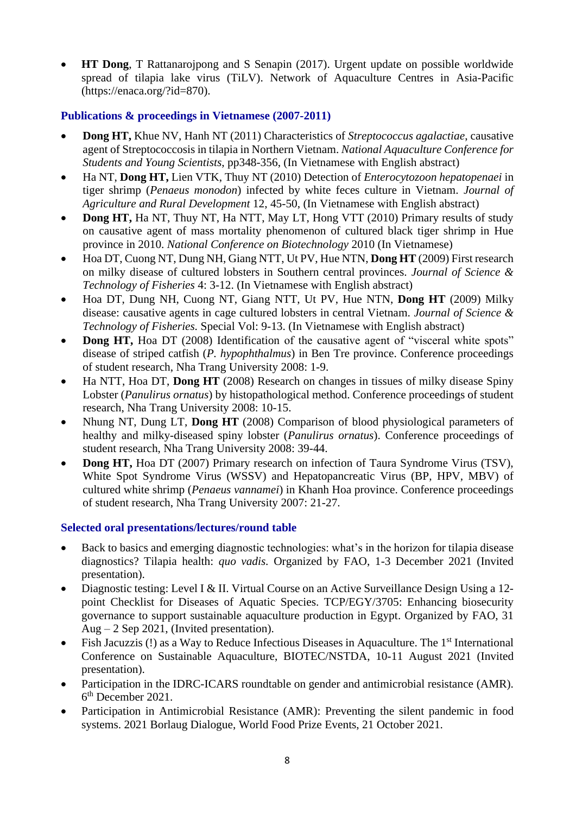• **HT Dong**, T Rattanarojpong and S Senapin (2017). Urgent update on possible worldwide spread of tilapia lake virus (TiLV). Network of Aquaculture Centres in Asia-Pacific (https://enaca.org/?id=870).

# **Publications & proceedings in Vietnamese (2007-2011)**

- **Dong HT,** Khue NV, Hanh NT (2011) Characteristics of *Streptococcus agalactiae*, causative agent of Streptococcosis in tilapia in Northern Vietnam. *National Aquaculture Conference for Students and Young Scientists*, pp348-356, (In Vietnamese with English abstract)
- Ha NT, **Dong HT,** Lien VTK, Thuy NT (2010) Detection of *Enterocytozoon hepatopenaei* in tiger shrimp (*Penaeus monodon*) infected by white feces culture in Vietnam. *Journal of Agriculture and Rural Development* 12, 45-50, (In Vietnamese with English abstract)
- **Dong HT, Ha NT, Thuy NT, Ha NTT, May LT, Hong VTT (2010) Primary results of study** on causative agent of mass mortality phenomenon of cultured black tiger shrimp in Hue province in 2010. *National Conference on Biotechnology* 2010 (In Vietnamese)
- Hoa DT, Cuong NT, Dung NH, Giang NTT, Ut PV, Hue NTN, **Dong HT** (2009) First research on milky disease of cultured lobsters in Southern central provinces. *Journal of Science & Technology of Fisheries* 4: 3-12. (In Vietnamese with English abstract)
- Hoa DT, Dung NH, Cuong NT, Giang NTT, Ut PV, Hue NTN, **Dong HT** (2009) Milky disease: causative agents in cage cultured lobsters in central Vietnam. *Journal of Science & Technology of Fisheries.* Special Vol: 9-13. (In Vietnamese with English abstract)
- **Dong HT,** Hoa DT (2008) Identification of the causative agent of "visceral white spots" disease of striped catfish (*P. hypophthalmus*) in Ben Tre province. Conference proceedings of student research, Nha Trang University 2008: 1-9.
- Ha NTT, Hoa DT, **Dong HT** (2008) Research on changes in tissues of milky disease Spiny Lobster (*Panulirus ornatus*) by histopathological method. Conference proceedings of student research, Nha Trang University 2008: 10-15.
- Nhung NT, Dung LT, **Dong HT** (2008) Comparison of blood physiological parameters of healthy and milky-diseased spiny lobster (*Panulirus ornatus*). Conference proceedings of student research, Nha Trang University 2008: 39-44.
- **Dong HT,** Hoa DT (2007) Primary research on infection of Taura Syndrome Virus (TSV), White Spot Syndrome Virus (WSSV) and Hepatopancreatic Virus (BP, HPV, MBV) of cultured white shrimp (*Penaeus vannamei*) in Khanh Hoa province. Conference proceedings of student research, Nha Trang University 2007: 21-27.

### **Selected oral presentations/lectures/round table**

- Back to basics and emerging diagnostic technologies: what's in the horizon for tilapia disease diagnostics? Tilapia health: *quo vadis.* Organized by FAO, 1-3 December 2021 (Invited presentation).
- Diagnostic testing: Level I & II. Virtual Course on an Active Surveillance Design Using a 12point Checklist for Diseases of Aquatic Species. TCP/EGY/3705: Enhancing biosecurity governance to support sustainable aquaculture production in Egypt. Organized by FAO, 31 Aug – 2 Sep 2021, (Invited presentation).
- Fish Jacuzzis (!) as a Way to Reduce Infectious Diseases in Aquaculture. The 1<sup>st</sup> International Conference on Sustainable Aquaculture, BIOTEC/NSTDA, 10-11 August 2021 (Invited presentation).
- Participation in the IDRC-ICARS roundtable on gender and antimicrobial resistance (AMR). 6 th December 2021.
- Participation in Antimicrobial Resistance (AMR): Preventing the silent pandemic in food systems. 2021 Borlaug Dialogue, World Food Prize Events, 21 October 2021.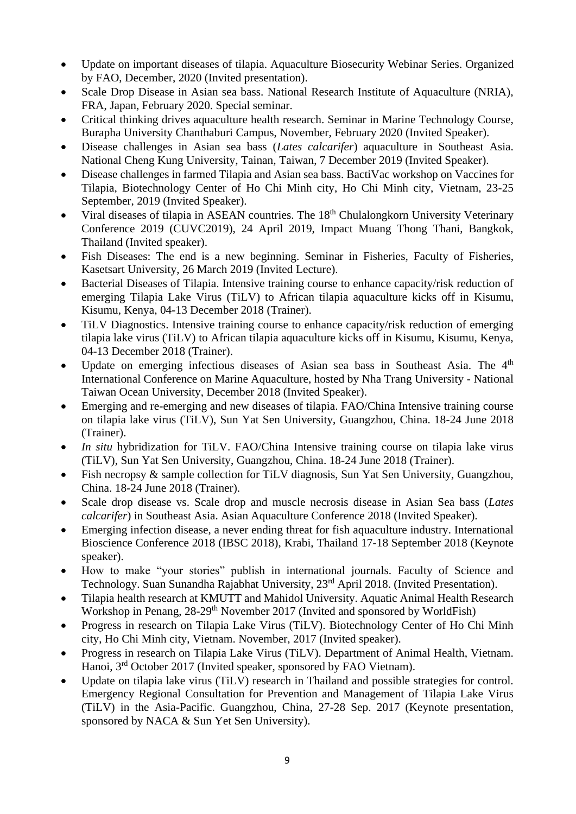- Update on important diseases of tilapia. Aquaculture Biosecurity Webinar Series. Organized by FAO, December, 2020 (Invited presentation).
- Scale Drop Disease in Asian sea bass. National Research Institute of Aquaculture (NRIA), FRA, Japan, February 2020. Special seminar.
- Critical thinking drives aquaculture health research. Seminar in Marine Technology Course, Burapha University Chanthaburi Campus, November, February 2020 (Invited Speaker).
- Disease challenges in Asian sea bass (*Lates calcarifer*) aquaculture in Southeast Asia. National Cheng Kung University, Tainan, Taiwan, 7 December 2019 (Invited Speaker).
- Disease challenges in farmed Tilapia and Asian sea bass. BactiVac workshop on Vaccines for Tilapia, Biotechnology Center of Ho Chi Minh city, Ho Chi Minh city, Vietnam, 23-25 September, 2019 (Invited Speaker).
- Viral diseases of tilapia in ASEAN countries. The 18<sup>th</sup> Chulalongkorn University Veterinary Conference 2019 (CUVC2019), 24 April 2019, Impact Muang Thong Thani, Bangkok, Thailand (Invited speaker).
- Fish Diseases: The end is a new beginning. Seminar in Fisheries, Faculty of Fisheries, Kasetsart University, 26 March 2019 (Invited Lecture).
- Bacterial Diseases of Tilapia. Intensive training course to enhance capacity/risk reduction of emerging Tilapia Lake Virus (TiLV) to African tilapia aquaculture kicks off in Kisumu, Kisumu, Kenya, 04-13 December 2018 (Trainer).
- TiLV Diagnostics. Intensive training course to enhance capacity/risk reduction of emerging tilapia lake virus (TiLV) to African tilapia aquaculture kicks off in Kisumu, Kisumu, Kenya, 04-13 December 2018 (Trainer).
- Update on emerging infectious diseases of Asian sea bass in Southeast Asia. The 4<sup>th</sup> International Conference on Marine Aquaculture, hosted by Nha Trang University - National Taiwan Ocean University, December 2018 (Invited Speaker).
- Emerging and re-emerging and new diseases of tilapia. FAO/China Intensive training course on tilapia lake virus (TiLV), Sun Yat Sen University, Guangzhou, China. 18-24 June 2018 (Trainer).
- *In situ* hybridization for TiLV. FAO/China Intensive training course on tilapia lake virus (TiLV), Sun Yat Sen University, Guangzhou, China. 18-24 June 2018 (Trainer).
- Fish necropsy & sample collection for TiLV diagnosis, Sun Yat Sen University, Guangzhou, China. 18-24 June 2018 (Trainer).
- Scale drop disease vs. Scale drop and muscle necrosis disease in Asian Sea bass (*Lates calcarifer*) in Southeast Asia. Asian Aquaculture Conference 2018 (Invited Speaker).
- Emerging infection disease, a never ending threat for fish aquaculture industry. International Bioscience Conference 2018 (IBSC 2018), Krabi, Thailand 17-18 September 2018 (Keynote speaker).
- How to make "your stories" publish in international journals. Faculty of Science and Technology. Suan Sunandha Rajabhat University, 23<sup>rd</sup> April 2018. (Invited Presentation).
- Tilapia health research at KMUTT and Mahidol University. Aquatic Animal Health Research Workshop in Penang, 28-29<sup>th</sup> November 2017 (Invited and sponsored by WorldFish)
- Progress in research on Tilapia Lake Virus (TiLV). Biotechnology Center of Ho Chi Minh city, Ho Chi Minh city, Vietnam. November, 2017 (Invited speaker).
- Progress in research on Tilapia Lake Virus (TiLV). Department of Animal Health, Vietnam. Hanoi, 3rd October 2017 (Invited speaker, sponsored by FAO Vietnam).
- Update on tilapia lake virus (TiLV) research in Thailand and possible strategies for control. Emergency Regional Consultation for Prevention and Management of Tilapia Lake Virus (TiLV) in the Asia-Pacific. Guangzhou, China, 27-28 Sep. 2017 (Keynote presentation, sponsored by NACA & Sun Yet Sen University).